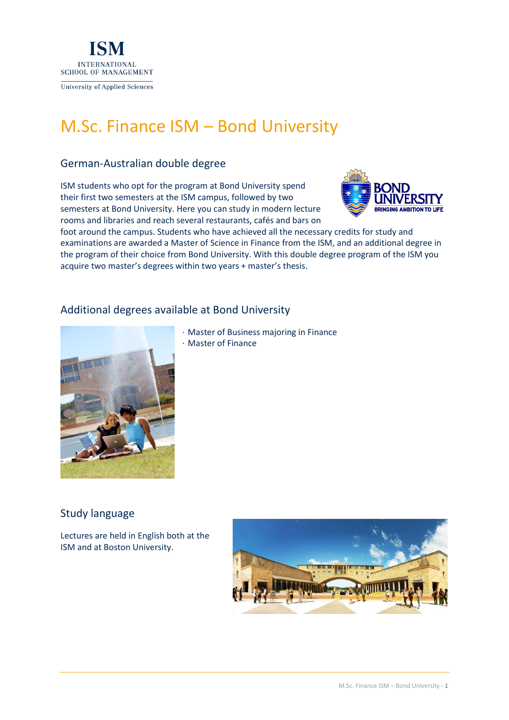

# M.Sc. Finance ISM – Bond University

# German-Australian double degree

ISM students who opt for the program at Bond University spend their first two semesters at the ISM campus, followed by two semesters at Bond University. Here you can study in modern lecture rooms and libraries and reach several restaurants, cafés and bars on



foot around the campus. Students who have achieved all the necessary credits for study and examinations are awarded a Master of Science in Finance from the ISM, and an additional degree in the program of their choice from Bond University. With this double degree program of the ISM you acquire two master's degrees within two years + master's thesis.

# Additional degrees available at Bond University



- · Master of Business majoring in Finance
- · Master of Finance

# Study language

Lectures are held in English both at the ISM and at Boston University.